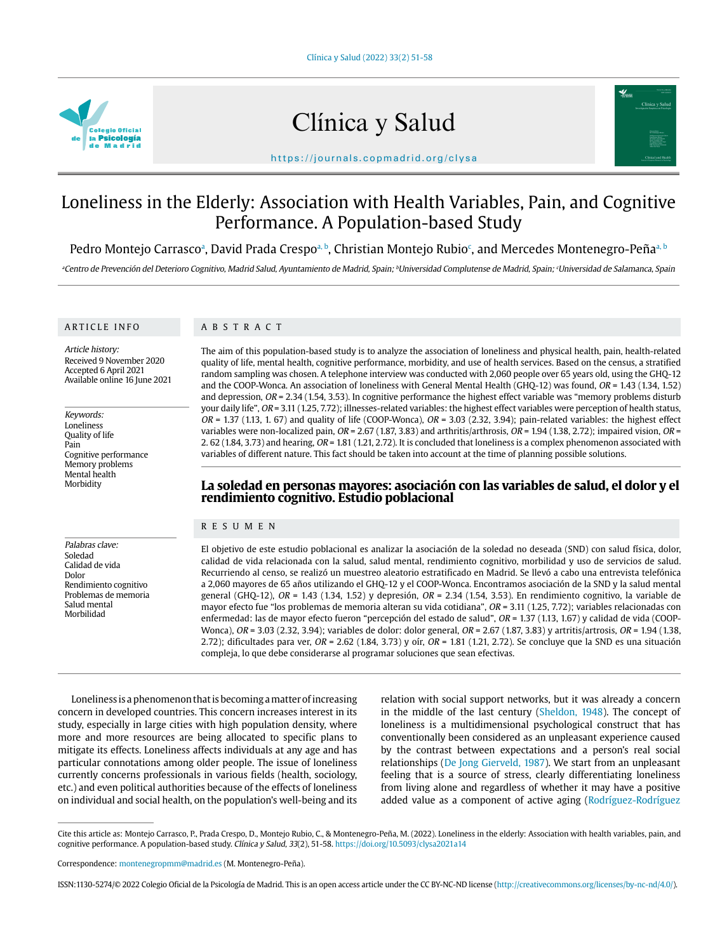

# Clínica y Salud



https://journals.copmadrid.org/clysa

# Loneliness in the Elderly: Association with Health Variables, Pain, and Cognitive Performance. A Population-based Study

Pedro Montejo Carrascoª, David Prada Crespoª <sup>b</sup>, Christian Montejo Rubio<sup>c</sup>, and Mercedes Montenegro-Peñaª <sup>b</sup>

ªCentro de Prevención del Deterioro Cognitivo, Madrid Salud, Ayuntamiento de Madrid, Spain; <sup>∂</sup>Universidad complutense de Madrid, Spain; ʿUniversidad de Salamanca, Spain

#### ARTICLE INFO

# ABSTRACT

Article history: Received 9 November 2020 Accepted 6 April 2021 Available online 16 June 2021

Keywords: Loneliness Quality of life Pain Cognitive performance Memory problems Mental health Morbidity

Palabras clave: Soledad Calidad de vida Dolor

Rendimiento cognitivo Problemas de memoria Salud mental Morbilidad

The aim of this population-based study is to analyze the association of loneliness and physical health, pain, health-related quality of life, mental health, cognitive performance, morbidity, and use of health services. Based on the census, a stratified random sampling was chosen. A telephone interview was conducted with 2,060 people over 65 years old, using the GHQ-12 and the COOP-Wonca. An association of loneliness with General Mental Health (GHQ-12) was found, OR = 1.43 (1.34, 1.52) and depression,  $OR = 2.34$  (1.54, 3.53). In cognitive performance the highest effect variable was "memory problems disturb your daily life", OR = 3.11 (1.25, 7.72); illnesses-related variables: the highest effect variables were perception of health status,  $OR = 1.37$  (1.13, 1. 67) and quality of life (COOP-Wonca),  $OR = 3.03$  (2.32, 3.94); pain-related variables: the highest effect variables were non-localized pain,  $OR = 2.67$  (1.87, 3.83) and arthritis/arthrosis,  $OR = 1.94$  (1.38, 2.72); impaired vision,  $OR =$ 2. 62 (1.84, 3.73) and hearing, OR = 1.81 (1.21, 2.72). It is concluded that loneliness is a complex phenomenon associated with variables of different nature. This fact should be taken into account at the time of planning possible solutions.

# **La soledad en personas mayores: asociación con las variables de salud, el dolor y el rendimiento cognitivo. Estudio poblacional**

# RESUMEN

El objetivo de este estudio poblacional es analizar la asociación de la soledad no deseada (SND) con salud física, dolor, calidad de vida relacionada con la salud, salud mental, rendimiento cognitivo, morbilidad y uso de servicios de salud. Recurriendo al censo, se realizó un muestreo aleatorio estratificado en Madrid. Se llevó a cabo una entrevista telefónica a 2,060 mayores de 65 años utilizando el GHQ-12 y el COOP-Wonca. Encontramos asociación de la SND y la salud mental general (GHQ-12),  $OR = 1.43$  (1.34, 1.52) y depresión,  $OR = 2.34$  (1.54, 3.53). En rendimiento cognitivo, la variable de mayor efecto fue "los problemas de memoria alteran su vida cotidiana", OR = 3.11 (1.25, 7.72); variables relacionadas con enfermedad: las de mayor efecto fueron "percepción del estado de salud", OR = 1.37 (1.13, 1.67) y calidad de vida (COOP-Wonca), OR = 3.03 (2.32, 3.94); variables de dolor: dolor general, OR = 2.67 (1.87, 3.83) y artritis/artrosis, OR = 1.94 (1.38, 2.72); dificultades para ver,  $OR = 2.62$  (1.84, 3.73) y oír,  $OR = 1.81$  (1.21, 2.72). Se concluye que la SND es una situación compleja, lo que debe considerarse al programar soluciones que sean efectivas.

Loneliness is a phenomenon that is becoming a matter of increasing concern in developed countries. This concern increases interest in its study, especially in large cities with high population density, where more and more resources are being allocated to specific plans to mitigate its effects. Loneliness affects individuals at any age and has particular connotations among older people. The issue of loneliness currently concerns professionals in various fields (health, sociology, etc.) and even political authorities because of the effects of loneliness on individual and social health, on the population's well-being and its

relation with social support networks, but it was already a concern in the middle of the last century (Sheldon, 1948). The concept of loneliness is a multidimensional psychological construct that has conventionally been considered as an unpleasant experience caused by the contrast between expectations and a person's real social relationships (De Jong Gierveld, 1987). We start from an unpleasant feeling that is a source of stress, clearly differentiating loneliness from living alone and regardless of whether it may have a positive added value as a component of active aging (Rodríguez-Rodríguez

Cite this article as: Montejo Carrasco, P., Prada Crespo, D., Montejo Rubio, C., & Montenegro-Peña, M. (2022). Loneliness in the elderly: Association with health variables, pain, and cognitive performance. A population-based study. Clínica y Salud, 33(2), 51-58. https://doi.org/10.5093/clysa2021a14

Correspondence: montenegropmm@madrid.es (M. Montenegro-Peña).

ISSN:1130-5274/© 2022 Colegio Oficial de la Psicología de Madrid. This is an open access article under the CC BY-NC-ND license (http://creativecommons.org/licenses/by-nc-nd/4.0/).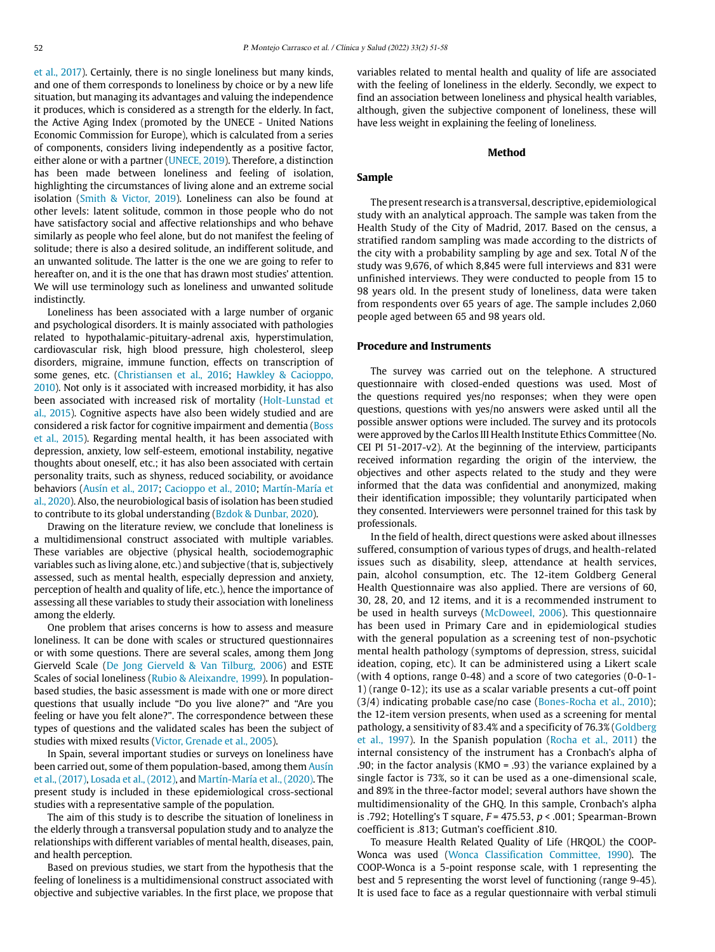et al., 2017). Certainly, there is no single loneliness but many kinds, and one of them corresponds to loneliness by choice or by a new life situation, but managing its advantages and valuing the independence it produces, which is considered as a strength for the elderly. In fact, the Active Aging Index (promoted by the UNECE - United Nations Economic Commission for Europe), which is calculated from a series of components, considers living independently as a positive factor, either alone or with a partner (UNECE, 2019). Therefore, a distinction has been made between loneliness and feeling of isolation, highlighting the circumstances of living alone and an extreme social isolation (Smith & Victor, 2019). Loneliness can also be found at other levels: latent solitude, common in those people who do not have satisfactory social and affective relationships and who behave similarly as people who feel alone, but do not manifest the feeling of solitude; there is also a desired solitude, an indifferent solitude, and an unwanted solitude. The latter is the one we are going to refer to hereafter on, and it is the one that has drawn most studies' attention. We will use terminology such as loneliness and unwanted solitude indistinctly.

Loneliness has been associated with a large number of organic and psychological disorders. It is mainly associated with pathologies related to hypothalamic-pituitary-adrenal axis, hyperstimulation, cardiovascular risk, high blood pressure, high cholesterol, sleep disorders, migraine, immune function, effects on transcription of some genes, etc. (Christiansen et al., 2016; Hawkley & Cacioppo, 2010). Not only is it associated with increased morbidity, it has also been associated with increased risk of mortality (Holt-Lunstad et al., 2015). Cognitive aspects have also been widely studied and are considered a risk factor for cognitive impairment and dementia (Boss et al., 2015). Regarding mental health, it has been associated with depression, anxiety, low self-esteem, emotional instability, negative thoughts about oneself, etc.; it has also been associated with certain personality traits, such as shyness, reduced sociability, or avoidance behaviors (Ausín et al., 2017; Cacioppo et al., 2010; Martín-María et al., 2020). Also, the neurobiological basis of isolation has been studied to contribute to its global understanding (Bzdok & Dunbar, 2020).

Drawing on the literature review, we conclude that loneliness is a multidimensional construct associated with multiple variables. These variables are objective (physical health, sociodemographic variables such as living alone, etc.) and subjective (that is, subjectively assessed, such as mental health, especially depression and anxiety, perception of health and quality of life, etc.), hence the importance of assessing all these variables to study their association with loneliness among the elderly.

One problem that arises concerns is how to assess and measure loneliness. It can be done with scales or structured questionnaires or with some questions. There are several scales, among them Jong Gierveld Scale (De Jong Gierveld & Van Tilburg, 2006) and ESTE Scales of social loneliness (Rubio & Aleixandre, 1999). In populationbased studies, the basic assessment is made with one or more direct questions that usually include "Do you live alone?" and "Are you feeling or have you felt alone?". The correspondence between these types of questions and the validated scales has been the subject of studies with mixed results (Victor, Grenade et al., 2005).

In Spain, several important studies or surveys on loneliness have been carried out, some of them population-based, among them Ausín et al., (2017), Losada et al., (2012), and Martín-María et al., (2020). The present study is included in these epidemiological cross-sectional studies with a representative sample of the population.

The aim of this study is to describe the situation of loneliness in the elderly through a transversal population study and to analyze the relationships with different variables of mental health, diseases, pain, and health perception.

Based on previous studies, we start from the hypothesis that the feeling of loneliness is a multidimensional construct associated with objective and subjective variables. In the first place, we propose that variables related to mental health and quality of life are associated with the feeling of loneliness in the elderly. Secondly, we expect to find an association between loneliness and physical health variables, although, given the subjective component of loneliness, these will have less weight in explaining the feeling of loneliness.

#### **Method**

# **Sample**

The present research is a transversal, descriptive, epidemiological study with an analytical approach. The sample was taken from the Health Study of the City of Madrid, 2017. Based on the census, a stratified random sampling was made according to the districts of the city with a probability sampling by age and sex. Total N of the study was 9,676, of which 8,845 were full interviews and 831 were unfinished interviews. They were conducted to people from 15 to 98 years old. In the present study of loneliness, data were taken from respondents over 65 years of age. The sample includes 2,060 people aged between 65 and 98 years old.

# **Procedure and Instruments**

The survey was carried out on the telephone. A structured questionnaire with closed-ended questions was used. Most of the questions required yes/no responses; when they were open questions, questions with yes/no answers were asked until all the possible answer options were included. The survey and its protocols were approved by the Carlos III Health Institute Ethics Committee (No. CEI PI 51-2017-v2). At the beginning of the interview, participants received information regarding the origin of the interview, the objectives and other aspects related to the study and they were informed that the data was confidential and anonymized, making their identification impossible; they voluntarily participated when they consented. Interviewers were personnel trained for this task by professionals.

In the field of health, direct questions were asked about illnesses suffered, consumption of various types of drugs, and health-related issues such as disability, sleep, attendance at health services, pain, alcohol consumption, etc. The 12-item Goldberg General Health Questionnaire was also applied. There are versions of 60, 30, 28, 20, and 12 items, and it is a recommended instrument to be used in health surveys (McDoweel, 2006). This questionnaire has been used in Primary Care and in epidemiological studies with the general population as a screening test of non-psychotic mental health pathology (symptoms of depression, stress, suicidal ideation, coping, etc). It can be administered using a Likert scale (with 4 options, range 0-48) and a score of two categories (0-0-1- 1) (range 0-12); its use as a scalar variable presents a cut-off point (3/4) indicating probable case/no case (Bones-Rocha et al., 2010); the 12-item version presents, when used as a screening for mental pathology, a sensitivity of 83.4% and a specificity of 76.3% (Goldberg et al., 1997). In the Spanish population (Rocha et al., 2011) the internal consistency of the instrument has a Cronbach's alpha of .90; in the factor analysis (KMO = .93) the variance explained by a single factor is 73%, so it can be used as a one-dimensional scale, and 89% in the three-factor model; several authors have shown the multidimensionality of the GHQ. In this sample, Cronbach's alpha is .792; Hotelling's T square,  $F = 475.53$ ,  $p < .001$ ; Spearman-Brown coefficient is .813; Gutman's coefficient .810.

To measure Health Related Quality of Life (HRQOL) the COOP-Wonca was used (Wonca Classification Committee, 1990). The COOP-Wonca is a 5-point response scale, with 1 representing the best and 5 representing the worst level of functioning (range 9-45). It is used face to face as a regular questionnaire with verbal stimuli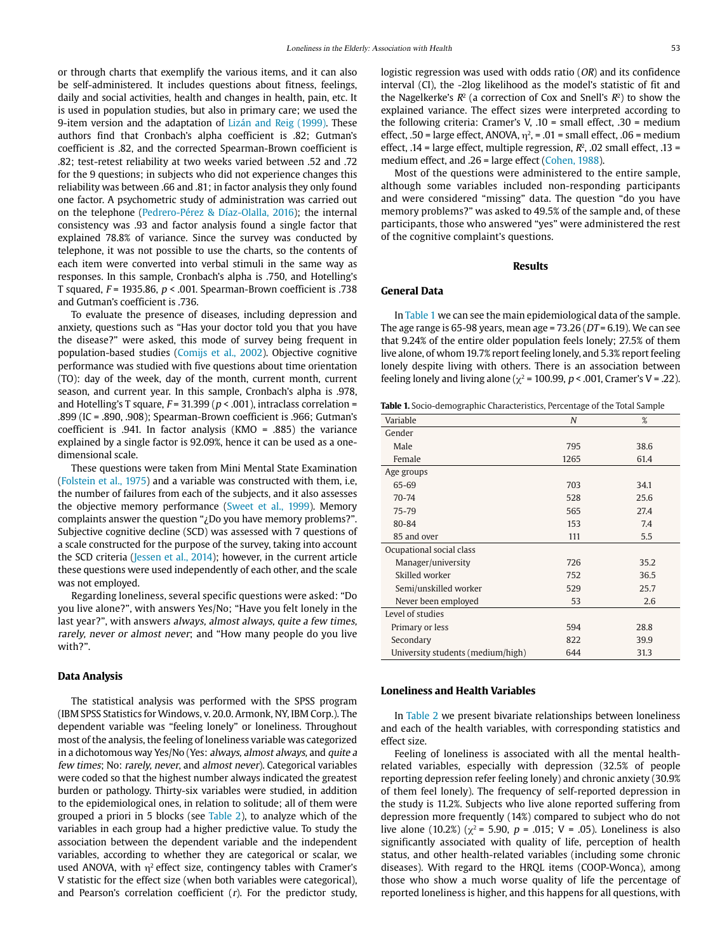or through charts that exemplify the various items, and it can also be self-administered. It includes questions about fitness, feelings, daily and social activities, health and changes in health, pain, etc. It is used in population studies, but also in primary care; we used the 9-item version and the adaptation of Lizán and Reig (1999). These authors find that Cronbach's alpha coefficient is .82; Gutman's coefficient is .82, and the corrected Spearman-Brown coefficient is .82; test-retest reliability at two weeks varied between .52 and .72 for the 9 questions; in subjects who did not experience changes this reliability was between .66 and .81; in factor analysis they only found one factor. A psychometric study of administration was carried out on the telephone (Pedrero-Pérez & Díaz-Olalla, 2016); the internal consistency was .93 and factor analysis found a single factor that explained 78.8% of variance. Since the survey was conducted by telephone, it was not possible to use the charts, so the contents of each item were converted into verbal stimuli in the same way as responses. In this sample, Cronbach's alpha is .750, and Hotelling's T squared,  $F = 1935.86$ ,  $p < .001$ . Spearman-Brown coefficient is .738 and Gutman's coefficient is .736.

To evaluate the presence of diseases, including depression and anxiety, questions such as "Has your doctor told you that you have the disease?" were asked, this mode of survey being frequent in population-based studies (Comijs et al., 2002). Objective cognitive performance was studied with five questions about time orientation (TO): day of the week, day of the month, current month, current season, and current year. In this sample, Cronbach's alpha is .978, and Hotelling's T square,  $F = 31.399 (p < .001)$ , intraclass correlation = .899 (IC = .890, .908); Spearman-Brown coefficient is .966; Gutman's coefficient is .941. In factor analysis (KMO = .885) the variance explained by a single factor is 92.09%, hence it can be used as a onedimensional scale.

These questions were taken from Mini Mental State Examination (Folstein et al., 1975) and a variable was constructed with them, i.e, the number of failures from each of the subjects, and it also assesses the objective memory performance (Sweet et al., 1999). Memory complaints answer the question "¿Do you have memory problems?". Subjective cognitive decline (SCD) was assessed with 7 questions of a scale constructed for the purpose of the survey, taking into account the SCD criteria (Jessen et al., 2014); however, in the current article these questions were used independently of each other, and the scale was not employed.

Regarding loneliness, several specific questions were asked: "Do you live alone?", with answers Yes/No; "Have you felt lonely in the last year?", with answers always, almost always, quite a few times, rarely, never or almost never; and "How many people do you live with?".

#### **Data Analysis**

The statistical analysis was performed with the SPSS program (IBM SPSS Statistics for Windows, v. 20.0. Armonk, NY, IBM Corp.). The dependent variable was "feeling lonely" or loneliness. Throughout most of the analysis, the feeling of loneliness variable was categorized in a dichotomous way Yes/No (Yes: always, almost always, and quite a few times; No: rarely, never, and almost never). Categorical variables were coded so that the highest number always indicated the greatest burden or pathology. Thirty-six variables were studied, in addition to the epidemiological ones, in relation to solitude; all of them were grouped a priori in 5 blocks (see Table 2), to analyze which of the variables in each group had a higher predictive value. To study the association between the dependent variable and the independent variables, according to whether they are categorical or scalar, we used ANOVA, with  $\eta^2$  effect size, contingency tables with Cramer's V statistic for the effect size (when both variables were categorical), and Pearson's correlation coefficient  $(r)$ . For the predictor study,

explained variance. The effect sizes were interpreted according to the following criteria: Cramer's V, .10 = small effect, .30 = medium effect, .50 = large effect, ANOVA,  $\eta^2$ , = .01 = small effect, .06 = medium effect, .14 = large effect, multiple regression,  $R^2$ , .02 small effect, .13 = medium effect, and .26 = large effect (Cohen, 1988).

Most of the questions were administered to the entire sample, although some variables included non-responding participants and were considered "missing" data. The question "do you have memory problems?" was asked to 49.5% of the sample and, of these participants, those who answered "yes" were administered the rest of the cognitive complaint's questions.

#### **Results**

#### **General Data**

In Table 1 we can see the main epidemiological data of the sample. The age range is 65-98 years, mean age =  $73.26$  ( $DT = 6.19$ ). We can see that 9.24% of the entire older population feels lonely; 27.5% of them live alone, of whom 19.7% report feeling lonely, and 5.3% report feeling lonely despite living with others. There is an association between feeling lonely and living alone ( $\chi^2$  = 100.99, p < .001, Cramer's V = .22).

| <b>Table 1.</b> Socio-demographic Characteristics, Percentage of the Total Sample |  |
|-----------------------------------------------------------------------------------|--|
|-----------------------------------------------------------------------------------|--|

| Variable                          | $\boldsymbol{N}$ | %    |
|-----------------------------------|------------------|------|
| Gender                            |                  |      |
| Male                              | 795              | 38.6 |
| Female                            | 1265             | 61.4 |
| Age groups                        |                  |      |
| 65-69                             | 703              | 34.1 |
| $70 - 74$                         | 528              | 25.6 |
| 75-79                             | 565              | 27.4 |
| 80-84                             | 153              | 7.4  |
| 85 and over                       | 111              | 5.5  |
| Ocupational social class          |                  |      |
| Manager/university                | 726              | 35.2 |
| Skilled worker                    | 752              | 36.5 |
| Semi/unskilled worker             | 529              | 25.7 |
| Never been employed               | 53               | 2.6  |
| Level of studies                  |                  |      |
| Primary or less                   | 594              | 28.8 |
| Secondary                         | 822              | 39.9 |
| University students (medium/high) | 644              | 31.3 |

#### **Loneliness and Health Variables**

In Table 2 we present bivariate relationships between loneliness and each of the health variables, with corresponding statistics and effect size.

Feeling of loneliness is associated with all the mental healthrelated variables, especially with depression (32.5% of people reporting depression refer feeling lonely) and chronic anxiety (30.9% of them feel lonely). The frequency of self-reported depression in the study is 11.2%. Subjects who live alone reported suffering from depression more frequently (14%) compared to subject who do not live alone (10.2%) ( $\chi^2$  = 5.90, p = .015; V = .05). Loneliness is also significantly associated with quality of life, perception of health status, and other health-related variables (including some chronic diseases). With regard to the HRQL items (COOP-Wonca), among those who show a much worse quality of life the percentage of reported loneliness is higher, and this happens for all questions, with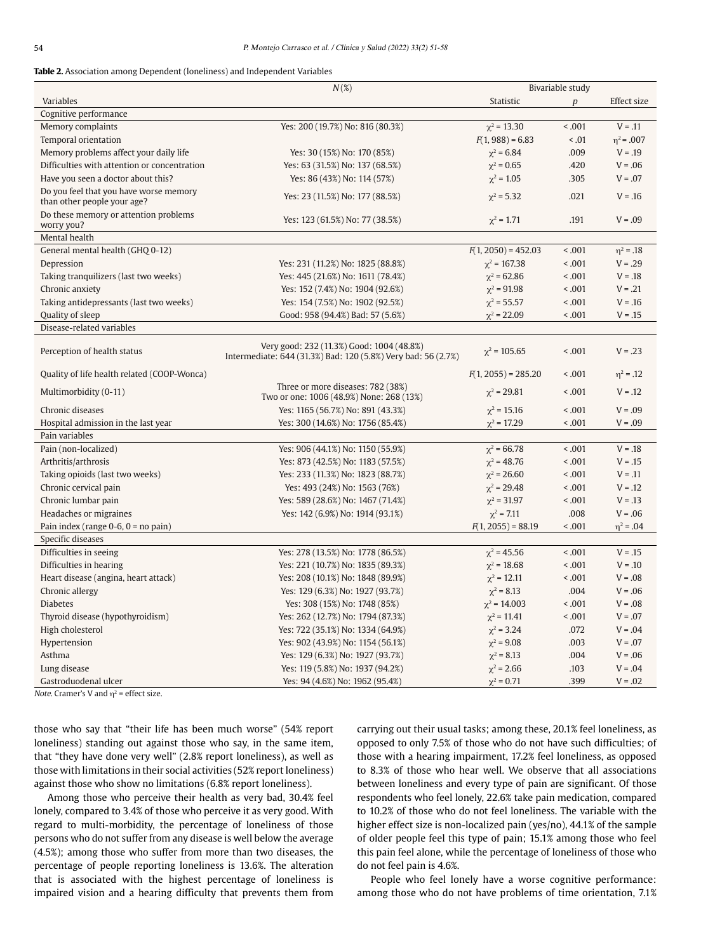#### **Table 2.** Association among Dependent (loneliness) and Independent Variables

|                                                                       | $N(\%)$                                                                                                    | Bivariable study      |                  |                |
|-----------------------------------------------------------------------|------------------------------------------------------------------------------------------------------------|-----------------------|------------------|----------------|
| Variables                                                             |                                                                                                            | Statistic             | $\boldsymbol{p}$ | Effect size    |
| Cognitive performance                                                 |                                                                                                            |                       |                  |                |
| Memory complaints                                                     | Yes: 200 (19.7%) No: 816 (80.3%)                                                                           | $\chi^2$ = 13.30      | < .001           | $V = .11$      |
| Temporal orientation                                                  |                                                                                                            | $F(1, 988) = 6.83$    | < .01            | $n^2$ = .007   |
| Memory problems affect your daily life                                | Yes: 30 (15%) No: 170 (85%)                                                                                | $\chi^2$ = 6.84       | .009             | $V = .19$      |
| Difficulties with attention or concentration                          | Yes: 63 (31.5%) No: 137 (68.5%)                                                                            | $\chi^2 = 0.65$       | .420             | $V = .06$      |
| Have you seen a doctor about this?                                    | Yes: 86 (43%) No: 114 (57%)                                                                                | $\chi^2$ = 1.05       | .305             | $V = .07$      |
| Do you feel that you have worse memory<br>than other people your age? | Yes: 23 (11.5%) No: 177 (88.5%)                                                                            | $\chi^2$ = 5.32       | .021             | $V = .16$      |
| Do these memory or attention problems<br>worry you?                   | Yes: 123 (61.5%) No: 77 (38.5%)                                                                            | $\chi^2$ = 1.71       | .191             | $V = .09$      |
| Mental health                                                         |                                                                                                            |                       |                  |                |
| General mental health (GHQ 0-12)                                      |                                                                                                            | $F(1, 2050) = 452.03$ | < 0.001          | $\eta^2 = .18$ |
| Depression                                                            | Yes: 231 (11.2%) No: 1825 (88.8%)                                                                          | $\chi^2$ = 167.38     | < 0.001          | $V = .29$      |
| Taking tranquilizers (last two weeks)                                 | Yes: 445 (21.6%) No: 1611 (78.4%)                                                                          | $\chi^2$ = 62.86      | < 0.001          | $V = .18$      |
| Chronic anxiety                                                       | Yes: 152 (7.4%) No: 1904 (92.6%)                                                                           | $\chi^2 = 91.98$      | < 0.001          | $V = .21$      |
| Taking antidepressants (last two weeks)                               | Yes: 154 (7.5%) No: 1902 (92.5%)                                                                           | $\gamma^2$ = 55.57    | < 0.001          | $V = .16$      |
| Quality of sleep                                                      | Good: 958 (94.4%) Bad: 57 (5.6%)                                                                           | $\chi^2 = 22.09$      | < 0.001          | $V = .15$      |
| Disease-related variables                                             |                                                                                                            |                       |                  |                |
| Perception of health status                                           | Very good: 232 (11.3%) Good: 1004 (48.8%)<br>Intermediate: 644 (31.3%) Bad: 120 (5.8%) Very bad: 56 (2.7%) | $\chi^2$ = 105.65     | < 0.001          | $V = .23$      |
| Quality of life health related (COOP-Wonca)                           |                                                                                                            | $R(1, 2055) = 285.20$ | < 0.001          | $\eta^2 = .12$ |
| Multimorbidity (0-11)                                                 | Three or more diseases: 782 (38%)<br>Two or one: 1006 (48.9%) None: 268 (13%)                              | $\chi^2$ = 29.81      | < 0.001          | $V = .12$      |
| Chronic diseases                                                      | Yes: 1165 (56.7%) No: 891 (43.3%)                                                                          | $\chi^2$ = 15.16      | < 0.001          | $V = .09$      |
| Hospital admission in the last year                                   | Yes: 300 (14.6%) No: 1756 (85.4%)                                                                          | $\chi^2$ = 17.29      | < 0.001          | $V = .09$      |
| Pain variables                                                        |                                                                                                            |                       |                  |                |
| Pain (non-localized)                                                  | Yes: 906 (44.1%) No: 1150 (55.9%)                                                                          | $\chi^2$ = 66.78      | < 0.001          | $V = .18$      |
| Arthritis/arthrosis                                                   | Yes: 873 (42.5%) No: 1183 (57.5%)                                                                          | $\chi^2$ = 48.76      | < 0.001          | $V = .15$      |
| Taking opioids (last two weeks)                                       | Yes: 233 (11.3%) No: 1823 (88.7%)                                                                          | $\chi^2$ = 26.60      | < 0.001          | $V = .11$      |
| Chronic cervical pain                                                 | Yes: 493 (24%) No: 1563 (76%)                                                                              | $\chi^2$ = 29.48      | < 0.001          | $V = .12$      |
| Chronic lumbar pain                                                   | Yes: 589 (28.6%) No: 1467 (71.4%)                                                                          | $\chi^2$ = 31.97      | < 0.001          | $V = .13$      |
| Headaches or migraines                                                | Yes: 142 (6.9%) No: 1914 (93.1%)                                                                           | $\chi^2$ = 7.11       | .008             | $V = .06$      |
| Pain index (range $0-6$ , $0 =$ no pain)                              |                                                                                                            | $F(1, 2055) = 88.19$  | < 0.001          | $\eta^2 = .04$ |
| Specific diseases                                                     |                                                                                                            |                       |                  |                |
| Difficulties in seeing                                                | Yes: 278 (13.5%) No: 1778 (86.5%)                                                                          | $\chi^2$ = 45.56      | < 0.001          | $V = .15$      |
| Difficulties in hearing                                               | Yes: 221 (10.7%) No: 1835 (89.3%)                                                                          | $\chi^2$ = 18.68      | < 0.001          | $V = .10$      |
| Heart disease (angina, heart attack)                                  | Yes: 208 (10.1%) No: 1848 (89.9%)                                                                          | $\chi^2$ = 12.11      | < 0.001          | $V = .08$      |
| Chronic allergy                                                       | Yes: 129 (6.3%) No: 1927 (93.7%)                                                                           | $\chi^2$ = 8.13       | .004             | $V = .06$      |
| <b>Diabetes</b>                                                       | Yes: 308 (15%) No: 1748 (85%)                                                                              | $\chi^2$ = 14.003     | < 0.001          | $V = .08$      |
| Thyroid disease (hypothyroidism)                                      | Yes: 262 (12.7%) No: 1794 (87.3%)                                                                          | $\chi^2$ = 11.41      | 0.001            | $V = .07$      |
| High cholesterol                                                      | Yes: 722 (35.1%) No: 1334 (64.9%)                                                                          | $\chi^2$ = 3.24       | .072             | $V = .04$      |
| Hypertension                                                          | Yes: 902 (43.9%) No: 1154 (56.1%)                                                                          | $\chi^2 = 9.08$       | .003             | $V = .07$      |
| Asthma                                                                | Yes: 129 (6.3%) No: 1927 (93.7%)                                                                           | $\chi^2 = 8.13$       | .004             | $V = .06$      |
| Lung disease                                                          | Yes: 119 (5.8%) No: 1937 (94.2%)                                                                           | $\chi^2$ = 2.66       | .103             | $V = .04$      |
| Gastroduodenal ulcer                                                  | Yes: 94 (4.6%) No: 1962 (95.4%)                                                                            | $\chi^2$ = 0.71       | .399             | $V = .02$      |

Note. Cramer's V and  $\eta^2$  = effect size.

those who say that "their life has been much worse" (54% report loneliness) standing out against those who say, in the same item, that "they have done very well" (2.8% report loneliness), as well as those with limitations in their social activities (52% report loneliness) against those who show no limitations (6.8% report loneliness).

Among those who perceive their health as very bad, 30.4% feel lonely, compared to 3.4% of those who perceive it as very good. With regard to multi-morbidity, the percentage of loneliness of those persons who do not suffer from any disease is well below the average (4.5%); among those who suffer from more than two diseases, the percentage of people reporting loneliness is 13.6%. The alteration that is associated with the highest percentage of loneliness is impaired vision and a hearing difficulty that prevents them from carrying out their usual tasks; among these, 20.1% feel loneliness, as opposed to only 7.5% of those who do not have such difficulties; of those with a hearing impairment, 17.2% feel loneliness, as opposed to 8.3% of those who hear well. We observe that all associations between loneliness and every type of pain are significant. Of those respondents who feel lonely, 22.6% take pain medication, compared to 10.2% of those who do not feel loneliness. The variable with the higher effect size is non-localized pain (yes/no), 44.1% of the sample of older people feel this type of pain; 15.1% among those who feel this pain feel alone, while the percentage of loneliness of those who do not feel pain is 4.6%.

People who feel lonely have a worse cognitive performance: among those who do not have problems of time orientation, 7.1%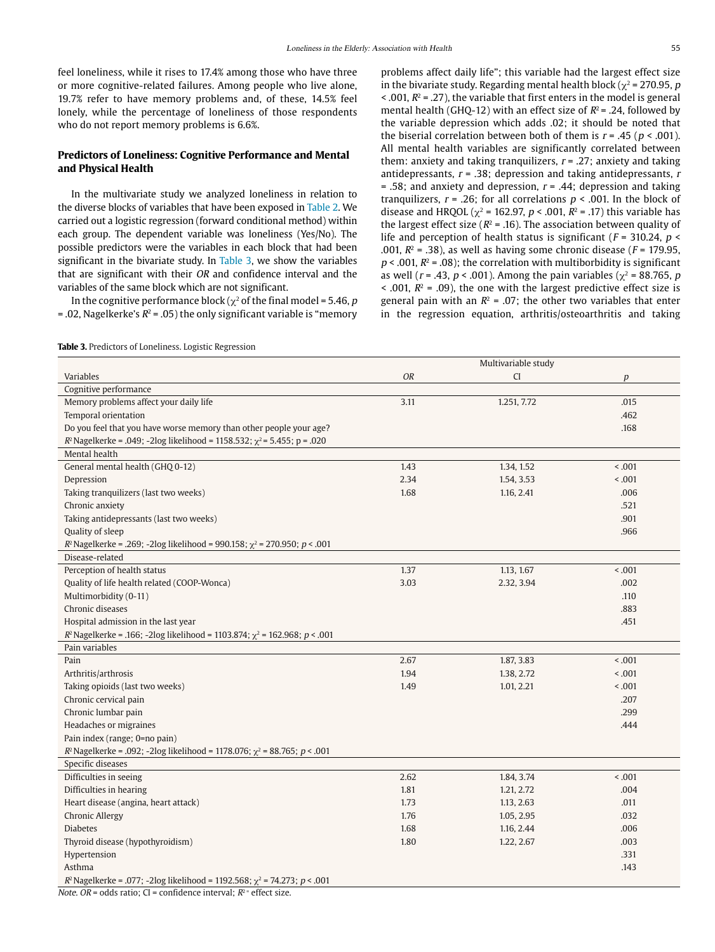feel loneliness, while it rises to 17.4% among those who have three or more cognitive-related failures. Among people who live alone, 19.7% refer to have memory problems and, of these, 14.5% feel lonely, while the percentage of loneliness of those respondents who do not report memory problems is 6.6%.

# **Predictors of Loneliness: Cognitive Performance and Mental and Physical Health**

In the multivariate study we analyzed loneliness in relation to the diverse blocks of variables that have been exposed in Table 2. We carried out a logistic regression (forward conditional method) within each group. The dependent variable was loneliness (Yes/No). The possible predictors were the variables in each block that had been significant in the bivariate study. In Table 3, we show the variables that are significant with their OR and confidence interval and the variables of the same block which are not significant.

In the cognitive performance block ( $\chi^2$  of the final model = 5.46, p  $=$ .02, Nagelkerke's  $R^2 = .05$ ) the only significant variable is "memory

problems affect daily life"; this variable had the largest effect size in the bivariate study. Regarding mental health block ( $\chi^2$  = 270.95, p  $\leq$  001,  $R^2$  = .27), the variable that first enters in the model is general mental health (GHQ-12) with an effect size of  $R^2$  = .24, followed by the variable depression which adds .02; it should be noted that the biserial correlation between both of them is  $r = .45$  ( $p < .001$ ). All mental health variables are significantly correlated between them: anxiety and taking tranquilizers,  $r = .27$ ; anxiety and taking antidepressants,  $r = .38$ ; depression and taking antidepressants,  $r = .38$  $= .58$ ; and anxiety and depression,  $r = .44$ ; depression and taking tranquilizers,  $r = .26$ ; for all correlations  $p < .001$ . In the block of disease and HRQOL ( $\chi^2$  = 162.97, p < .001, R<sup>2</sup> = .17) this variable has the largest effect size ( $R^2$  = .16). The association between quality of life and perception of health status is significant ( $F = 310.24$ ,  $p <$ .001,  $R^2$  = .38), as well as having some chronic disease ( $F = 179.95$ ,  $p < .001$ ,  $R^2 = .08$ ); the correlation with multiborbidity is significant as well ( $r = .43$ ,  $p < .001$ ). Among the pain variables ( $\chi^2 = 88.765$ , p  $\leq$  .001,  $R^2$  = .09), the one with the largest predictive effect size is general pain with an  $R^2 = .07$ ; the other two variables that enter in the regression equation, arthritis/osteoarthritis and taking

**Table 3.** Predictors of Loneliness. Logistic Regression

|                                                                                    | Multivariable study |             |         |
|------------------------------------------------------------------------------------|---------------------|-------------|---------|
| Variables                                                                          | <b>OR</b>           | <b>CI</b>   | p       |
| Cognitive performance                                                              |                     |             |         |
| Memory problems affect your daily life                                             | 3.11                | 1.251, 7.72 | .015    |
| Temporal orientation                                                               |                     |             | .462    |
| Do you feel that you have worse memory than other people your age?                 |                     |             | .168    |
| $R^2$ Nagelkerke = .049; -2log likelihood = 1158.532; $\chi^2$ = 5.455; p = .020   |                     |             |         |
| Mental health                                                                      |                     |             |         |
| General mental health (GHQ 0-12)                                                   | 1.43                | 1.34, 1.52  | < 0.001 |
| Depression                                                                         | 2.34                | 1.54, 3.53  | < .001  |
| Taking tranquilizers (last two weeks)                                              | 1.68                | 1.16, 2.41  | .006    |
| Chronic anxiety                                                                    |                     |             | .521    |
| Taking antidepressants (last two weeks)                                            |                     |             | .901    |
| Quality of sleep                                                                   |                     |             | .966    |
| $R^2$ Nagelkerke = .269; -2log likelihood = 990.158; $\chi^2$ = 270.950; p < .001  |                     |             |         |
| Disease-related                                                                    |                     |             |         |
| Perception of health status                                                        | 1.37                | 1.13, 1.67  | < .001  |
| Quality of life health related (COOP-Wonca)                                        | 3.03                | 2.32, 3.94  | .002    |
| Multimorbidity (0-11)                                                              |                     |             | .110    |
| Chronic diseases                                                                   |                     |             | .883    |
| Hospital admission in the last year                                                |                     |             | .451    |
| $R^2$ Nagelkerke = .166; -2log likelihood = 1103.874; $\chi^2$ = 162.968; p < .001 |                     |             |         |
| Pain variables                                                                     |                     |             |         |
| Pain                                                                               | 2.67                | 1.87, 3.83  | < .001  |
| Arthritis/arthrosis                                                                | 1.94                | 1.38, 2.72  | < .001  |
| Taking opioids (last two weeks)                                                    | 1.49                | 1.01, 2.21  | < .001  |
| Chronic cervical pain                                                              |                     |             | .207    |
| Chronic lumbar pain                                                                |                     |             | .299    |
| Headaches or migraines                                                             |                     |             | .444    |
| Pain index (range; 0=no pain)                                                      |                     |             |         |
| $R^2$ Nagelkerke = .092; -2log likelihood = 1178.076; $χ^2$ = 88.765; $p < .001$   |                     |             |         |
| Specific diseases                                                                  |                     |             |         |
| Difficulties in seeing                                                             | 2.62                | 1.84, 3.74  | < 0.001 |
| Difficulties in hearing                                                            | 1.81                | 1.21, 2.72  | .004    |
| Heart disease (angina, heart attack)                                               | 1.73                | 1.13, 2.63  | .011    |
| <b>Chronic Allergy</b>                                                             | 1.76                | 1.05, 2.95  | .032    |
| <b>Diabetes</b>                                                                    | 1.68                | 1.16, 2.44  | .006    |
| Thyroid disease (hypothyroidism)                                                   | 1.80                | 1.22, 2.67  | .003    |
| Hypertension                                                                       |                     |             | .331    |
| Asthma                                                                             |                     |             | .143    |
| $R^2$ Nagelkerke = .077; -2log likelihood = 1192.568; $\chi^2$ = 74.273; p < .001  |                     |             |         |

*Note. OR* = odds ratio; CI = confidence interval;  $R^2$  = effect size.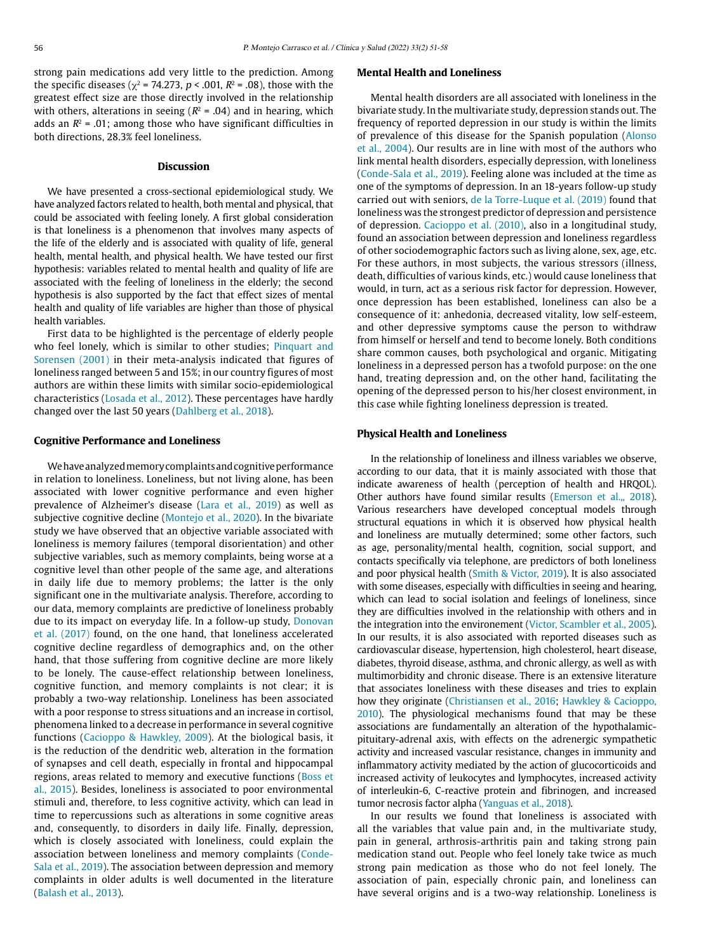strong pain medications add very little to the prediction. Among the specific diseases ( $\chi^2$  = 74.273, p < .001,  $R^2$  = .08), those with the greatest effect size are those directly involved in the relationship with others, alterations in seeing ( $R^2$  = .04) and in hearing, which adds an  $R^2$  = .01; among those who have significant difficulties in both directions, 28.3% feel loneliness.

# **Discussion**

We have presented a cross-sectional epidemiological study. We have analyzed factors related to health, both mental and physical, that could be associated with feeling lonely. A first global consideration is that loneliness is a phenomenon that involves many aspects of the life of the elderly and is associated with quality of life, general health, mental health, and physical health. We have tested our first hypothesis: variables related to mental health and quality of life are associated with the feeling of loneliness in the elderly; the second hypothesis is also supported by the fact that effect sizes of mental health and quality of life variables are higher than those of physical health variables.

First data to be highlighted is the percentage of elderly people who feel lonely, which is similar to other studies; Pinquart and Sorensen (2001) in their meta-analysis indicated that figures of loneliness ranged between 5 and 15%; in our country figures of most authors are within these limits with similar socio-epidemiological characteristics (Losada et al., 2012). These percentages have hardly changed over the last 50 years (Dahlberg et al., 2018).

# **Cognitive Performance and Loneliness**

We have analyzed memory complaints and cognitive performance in relation to loneliness. Loneliness, but not living alone, has been associated with lower cognitive performance and even higher prevalence of Alzheimer's disease (Lara et al., 2019) as well as subjective cognitive decline (Montejo et al., 2020). In the bivariate study we have observed that an objective variable associated with loneliness is memory failures (temporal disorientation) and other subjective variables, such as memory complaints, being worse at a cognitive level than other people of the same age, and alterations in daily life due to memory problems; the latter is the only significant one in the multivariate analysis. Therefore, according to our data, memory complaints are predictive of loneliness probably due to its impact on everyday life. In a follow-up study, Donovan et al. (2017) found, on the one hand, that loneliness accelerated cognitive decline regardless of demographics and, on the other hand, that those suffering from cognitive decline are more likely to be lonely. The cause-effect relationship between loneliness, cognitive function, and memory complaints is not clear; it is probably a two-way relationship. Loneliness has been associated with a poor response to stress situations and an increase in cortisol, phenomena linked to a decrease in performance in several cognitive functions (Cacioppo & Hawkley, 2009). At the biological basis, it is the reduction of the dendritic web, alteration in the formation of synapses and cell death, especially in frontal and hippocampal regions, areas related to memory and executive functions (Boss et al., 2015). Besides, loneliness is associated to poor environmental stimuli and, therefore, to less cognitive activity, which can lead in time to repercussions such as alterations in some cognitive areas and, consequently, to disorders in daily life. Finally, depression, which is closely associated with loneliness, could explain the association between loneliness and memory complaints (Conde-Sala et al., 2019). The association between depression and memory complaints in older adults is well documented in the literature (Balash et al., 2013).

# **Mental Health and Loneliness**

Mental health disorders are all associated with loneliness in the bivariate study. In the multivariate study, depression stands out. The frequency of reported depression in our study is within the limits of prevalence of this disease for the Spanish population (Alonso et al., 2004). Our results are in line with most of the authors who link mental health disorders, especially depression, with loneliness (Conde-Sala et al., 2019). Feeling alone was included at the time as one of the symptoms of depression. In an 18-years follow-up study carried out with seniors, de la Torre-Luque et al. (2019) found that loneliness was the strongest predictor of depression and persistence of depression. Cacioppo et al. (2010), also in a longitudinal study, found an association between depression and loneliness regardless of other sociodemographic factors such as living alone, sex, age, etc. For these authors, in most subjects, the various stressors (illness, death, difficulties of various kinds, etc.) would cause loneliness that would, in turn, act as a serious risk factor for depression. However, once depression has been established, loneliness can also be a consequence of it: anhedonia, decreased vitality, low self-esteem, and other depressive symptoms cause the person to withdraw from himself or herself and tend to become lonely. Both conditions share common causes, both psychological and organic. Mitigating loneliness in a depressed person has a twofold purpose: on the one hand, treating depression and, on the other hand, facilitating the opening of the depressed person to his/her closest environment, in this case while fighting loneliness depression is treated.

#### **Physical Health and Loneliness**

In the relationship of loneliness and illness variables we observe, according to our data, that it is mainly associated with those that indicate awareness of health (perception of health and HRQOL). Other authors have found similar results (Emerson et al.,, 2018). Various researchers have developed conceptual models through structural equations in which it is observed how physical health and loneliness are mutually determined; some other factors, such as age, personality/mental health, cognition, social support, and contacts specifically via telephone, are predictors of both loneliness and poor physical health (Smith & Victor, 2019). It is also associated with some diseases, especially with difficulties in seeing and hearing, which can lead to social isolation and feelings of loneliness, since they are difficulties involved in the relationship with others and in the integration into the environement (Victor, Scambler et al., 2005). In our results, it is also associated with reported diseases such as cardiovascular disease, hypertension, high cholesterol, heart disease, diabetes, thyroid disease, asthma, and chronic allergy, as well as with multimorbidity and chronic disease. There is an extensive literature that associates loneliness with these diseases and tries to explain how they originate (Christiansen et al., 2016; Hawkley & Cacioppo, 2010). The physiological mechanisms found that may be these associations are fundamentally an alteration of the hypothalamicpituitary-adrenal axis, with effects on the adrenergic sympathetic activity and increased vascular resistance, changes in immunity and inflammatory activity mediated by the action of glucocorticoids and increased activity of leukocytes and lymphocytes, increased activity of interleukin-6, C-reactive protein and fibrinogen, and increased tumor necrosis factor alpha (Yanguas et al., 2018).

In our results we found that loneliness is associated with all the variables that value pain and, in the multivariate study, pain in general, arthrosis-arthritis pain and taking strong pain medication stand out. People who feel lonely take twice as much strong pain medication as those who do not feel lonely. The association of pain, especially chronic pain, and loneliness can have several origins and is a two-way relationship. Loneliness is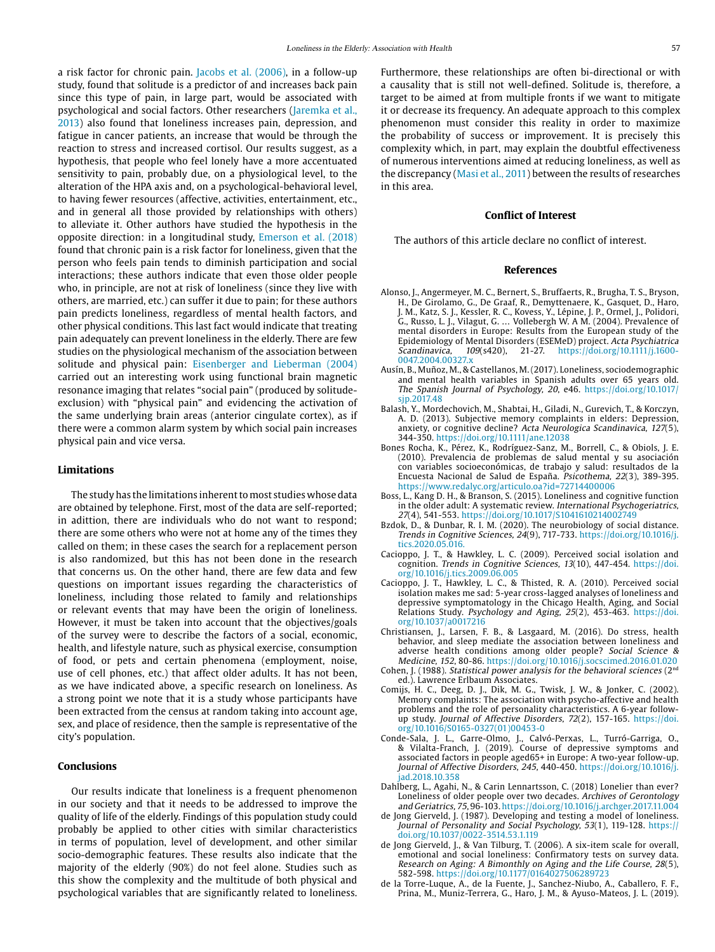a risk factor for chronic pain. Jacobs et al. (2006), in a follow-up study, found that solitude is a predictor of and increases back pain since this type of pain, in large part, would be associated with psychological and social factors. Other researchers (Jaremka et al., 2013) also found that loneliness increases pain, depression, and fatigue in cancer patients, an increase that would be through the reaction to stress and increased cortisol. Our results suggest, as a hypothesis, that people who feel lonely have a more accentuated sensitivity to pain, probably due, on a physiological level, to the alteration of the HPA axis and, on a psychological-behavioral level, to having fewer resources (affective, activities, entertainment, etc., and in general all those provided by relationships with others) to alleviate it. Other authors have studied the hypothesis in the opposite direction: in a longitudinal study, Emerson et al. (2018) found that chronic pain is a risk factor for loneliness, given that the person who feels pain tends to diminish participation and social interactions; these authors indicate that even those older people who, in principle, are not at risk of loneliness (since they live with others, are married, etc.) can suffer it due to pain; for these authors pain predicts loneliness, regardless of mental health factors, and other physical conditions. This last fact would indicate that treating pain adequately can prevent loneliness in the elderly. There are few studies on the physiological mechanism of the association between solitude and physical pain: Eisenberger and Lieberman (2004) carried out an interesting work using functional brain magnetic resonance imaging that relates "social pain" (produced by solitudeexclusion) with "physical pain" and evidencing the activation of the same underlying brain areas (anterior cingulate cortex), as if there were a common alarm system by which social pain increases physical pain and vice versa.

#### **Limitations**

The study has the limitations inherent to most studies whose data are obtained by telephone. First, most of the data are self-reported; in adittion, there are individuals who do not want to respond; there are some others who were not at home any of the times they called on them; in these cases the search for a replacement person is also randomized, but this has not been done in the research that concerns us. On the other hand, there are few data and few questions on important issues regarding the characteristics of loneliness, including those related to family and relationships or relevant events that may have been the origin of loneliness. However, it must be taken into account that the objectives/goals of the survey were to describe the factors of a social, economic, health, and lifestyle nature, such as physical exercise, consumption of food, or pets and certain phenomena (employment, noise, use of cell phones, etc.) that affect older adults. It has not been, as we have indicated above, a specific research on loneliness. As a strong point we note that it is a study whose participants have been extracted from the census at random taking into account age, sex, and place of residence, then the sample is representative of the city's population.

#### **Conclusions**

Our results indicate that loneliness is a frequent phenomenon in our society and that it needs to be addressed to improve the quality of life of the elderly. Findings of this population study could probably be applied to other cities with similar characteristics in terms of population, level of development, and other similar socio-demographic features. These results also indicate that the majority of the elderly (90%) do not feel alone. Studies such as this show the complexity and the multitude of both physical and psychological variables that are significantly related to loneliness.

Furthermore, these relationships are often bi-directional or with a causality that is still not well-defined. Solitude is, therefore, a target to be aimed at from multiple fronts if we want to mitigate it or decrease its frequency. An adequate approach to this complex phenomenon must consider this reality in order to maximize the probability of success or improvement. It is precisely this complexity which, in part, may explain the doubtful effectiveness of numerous interventions aimed at reducing loneliness, as well as the discrepancy (Masi et al., 2011) between the results of researches in this area.

# **Conflict of Interest**

The authors of this article declare no conflict of interest.

# **References**

- Alonso, J., Angermeyer, M. C., Bernert, S., Bruffaerts, R., Brugha, T. S., Bryson, H., De Girolamo, G., De Graaf, R., Demyttenaere, K., Gasquet, D., Haro, J. M., Katz, S. J., Kessler, R. C., Kovess, Y., Lépine, J. P., Ormel, J., Polidori, G., Russo, L. J., Vilagut, G. … Vollebergh W. A M. (2004). Prevalence of mental disorders in Europe: Results from the European study of the Epidemiology of Mental Disorders (ESEMeD) project. Acta Psychiatrica Scandinavica, 109(s420), 21-27. https://doi.org/10.1111/j.1600- 0047.2004.00327 x
- Ausín, B., Muñoz, M., & Castellanos, M. (2017). Loneliness, sociodemographic and mental health variables in Spanish adults over 65 years old. The Spanish Journal of Psychology, 20, e46. [https://doi.org/10.1017/](https://doi.org/10.1017/sjp.2017.48) [sjp.2017.48](https://doi.org/10.1017/sjp.2017.48)
- Balash, Y., Mordechovich, M., Shabtai, H., Giladi, N., Gurevich, T., & Korczyn, A. D. (2013). Subjective memory complaints in elders: Depression, anxiety, or cognitive decline? Acta Neurologica Scandinavica, 127(5), 344-350. https://doi.org/10.1111/ane.12038
- Bones Rocha, K., Pérez, K., Rodríguez-Sanz, M., Borrell, C., & Obiols, J. E. (2010). Prevalencia de problemas de salud mental y su asociación con variables socioeconómicas, de trabajo y salud: resultados de la Encuesta Nacional de Salud de España. Psicothema, 22(3), 389-395. https://www.redalyc.org/articulo.oa?id=72714400006
- Boss, L., Kang D. H., & Branson, S. (2015). Loneliness and cognitive function in the older adult: A systematic review. International Psychogeriatrics, 27(4), 541-553. <https://doi.org/10.1017/S1041610214002749>
- Bzdok, D., & Dunbar, R. I. M. (2020). The neurobiology of social distance. Trends in Cognitive Sciences, 24(9), 717-733. [https://doi.org/10.1016/j.](https://doi.org/10.1016/j.tics.2020.05.016) [tics.2020.05.016.](https://doi.org/10.1016/j.tics.2020.05.016)
- Cacioppo, J. T., & Hawkley, L. C. (2009). Perceived social isolation and cognition. Trends in Cognitive Sciences, 13(10), 447-454. [https://doi.](https://doi.org/10.1016/j.tics.2009.06.005) [org/10.1016/j.tics.2009.06.005](https://doi.org/10.1016/j.tics.2009.06.005)
- Cacioppo, J. T., Hawkley, L. C., & Thisted, R. A. (2010). Perceived social isolation makes me sad: 5-year cross-lagged analyses of loneliness and depressive symptomatology in the Chicago Health, Aging, and Social Relations Study. Psychology and Aging, 25(2), 453-463. [https://doi.](https://doi.org/10.1037/a0017216) [org/10.1037/a0017216](https://doi.org/10.1037/a0017216)
- Christiansen, J., Larsen, F. B., & Lasgaard, M. (2016). Do stress, health behavior, and sleep mediate the association between loneliness and adverse health conditions among older people? Social Science & Medicine, 152, 80-86. https://doi.org/10.1016/j.socscimed.2016.01.020
- Cohen, J. (1988). Statistical power analysis for the behavioral sciences ( $2<sup>nd</sup>$ ed.). Lawrence Erlbaum Associates.
- Comijs, H. C., Deeg, D. J., Dik, M. G., Twisk, J. W., & Jonker, C. (2002). Memory complaints: The association with psycho-affective and health problems and the role of personality characteristics. A 6-year followup study. Journal of Affective Disorders, 72(2), 157-165. [https://doi.](https://doi.org/10.1016/S0165-0327(01)00453-0) [org/10.1016/S0165-0327\(01\)00453-0](https://doi.org/10.1016/S0165-0327(01)00453-0)
- Conde-Sala, J. L., Garre-Olmo, J., Calvó-Perxas, L., Turró-Garriga, O., & Vilalta-Franch, J. (2019). Course of depressive symptoms and associated factors in people aged65+ in Europe: A two-year follow-up. Journal of Affective Disorders, 245, 440-450. [https://doi.org/10.1016/j.](https://doi.org/10.1016/j.jad.2018.10.358) [jad.2018.10.358](https://doi.org/10.1016/j.jad.2018.10.358)
- Dahlberg, L., Agahi, N., & Carin Lennartsson, C. (2018) Lonelier than ever? Loneliness of older people over two decades. Archives of Gerontology and Geriatrics, 75, 96-103. https://doi.org/10.1016/j.archger.2017.11.004
- de Jong Gierveld, J. (1987). Developing and testing a model of loneliness. Journal of Personality and Social Psychology, 53(1), 119-128. https:// doi.org/10.1037/0022-3514.53.1.119
- de Jong Gierveld, J., & Van Tilburg, T. (2006). A six-item scale for overall, emotional and social loneliness: Confirmatory tests on survey data. Research on Aging: A Bimonthly on Aging and the Life Course, 28(5), 582-598. https://doi.org/10.1177/0164027506289723
- de la Torre-Luque, A., de la Fuente, J., Sanchez-Niubo, A., Caballero, F. F., Prina, M., Muniz-Terrera, G., Haro, J. M., & Ayuso-Mateos, J. L. (2019).